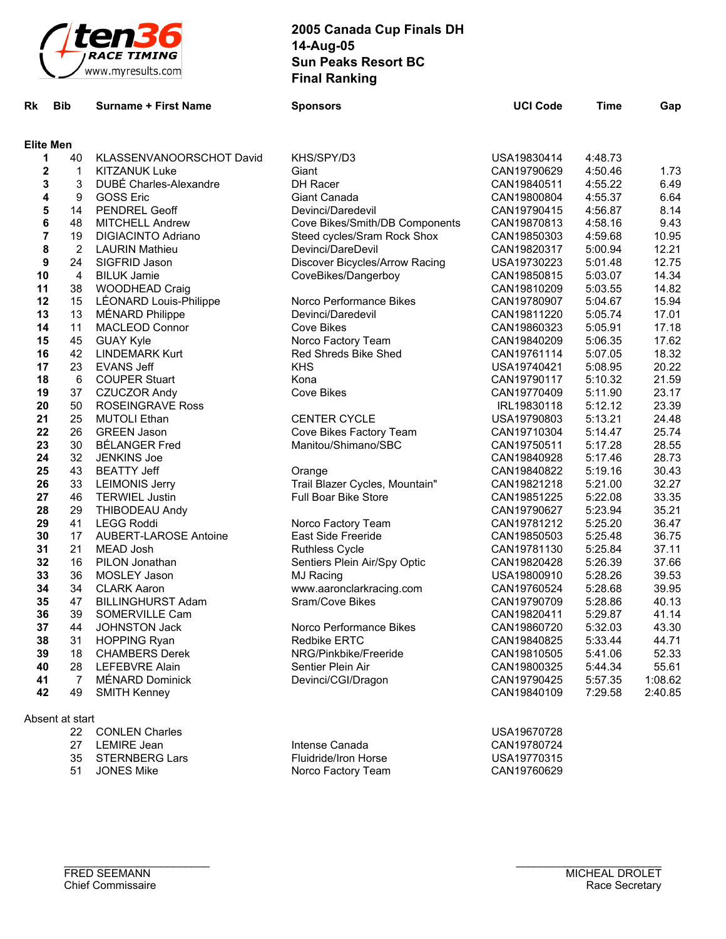

| Rk | <b>Bib</b>       | <b>Surname + First Name</b>  | <b>Sponsors</b>                | <b>UCI Code</b> | <b>Time</b> | Gap     |
|----|------------------|------------------------------|--------------------------------|-----------------|-------------|---------|
|    | <b>Elite Men</b> |                              |                                |                 |             |         |
| 1  | 40               | KLASSENVANOORSCHOT David     | KHS/SPY/D3                     | USA19830414     | 4:48.73     |         |
| 2  | $\mathbf 1$      | <b>KITZANUK Luke</b>         | Giant                          | CAN19790629     | 4:50.46     | 1.73    |
| 3  | 3                | DUBE Charles-Alexandre       | DH Racer                       | CAN19840511     | 4:55.22     | 6.49    |
| 4  | 9                | <b>GOSS Eric</b>             | Giant Canada                   | CAN19800804     | 4:55.37     | 6.64    |
| 5  | 14               | <b>PENDREL Geoff</b>         | Devinci/Daredevil              | CAN19790415     | 4:56.87     | 8.14    |
| 6  | 48               | <b>MITCHELL Andrew</b>       | Cove Bikes/Smith/DB Components | CAN19870813     | 4:58.16     | 9.43    |
| 7  | 19               | <b>DIGIACINTO Adriano</b>    | Steed cycles/Sram Rock Shox    | CAN19850303     | 4:59.68     | 10.95   |
| 8  | $\overline{2}$   | <b>LAURIN Mathieu</b>        | Devinci/DareDevil              | CAN19820317     | 5:00.94     | 12.21   |
| 9  | 24               | SIGFRID Jason                | Discover Bicycles/Arrow Racing | USA19730223     | 5:01.48     | 12.75   |
| 10 | $\overline{4}$   | <b>BILUK Jamie</b>           | CoveBikes/Dangerboy            | CAN19850815     | 5:03.07     | 14.34   |
| 11 | 38               | WOODHEAD Craig               |                                | CAN19810209     | 5:03.55     | 14.82   |
| 12 | 15               | LÉONARD Louis-Philippe       | Norco Performance Bikes        | CAN19780907     | 5:04.67     | 15.94   |
| 13 | 13               | MÉNARD Philippe              | Devinci/Daredevil              | CAN19811220     | 5:05.74     | 17.01   |
| 14 | 11               | <b>MACLEOD Connor</b>        | <b>Cove Bikes</b>              | CAN19860323     | 5:05.91     | 17.18   |
| 15 | 45               | <b>GUAY Kyle</b>             | Norco Factory Team             | CAN19840209     | 5:06.35     | 17.62   |
| 16 | 42               | <b>LINDEMARK Kurt</b>        | Red Shreds Bike Shed           | CAN19761114     | 5:07.05     | 18.32   |
| 17 | 23               | <b>EVANS Jeff</b>            | <b>KHS</b>                     | USA19740421     | 5:08.95     | 20.22   |
| 18 | 6                | <b>COUPER Stuart</b>         | Kona                           | CAN19790117     | 5:10.32     | 21.59   |
| 19 | 37               | <b>CZUCZOR Andy</b>          | <b>Cove Bikes</b>              | CAN19770409     | 5:11.90     | 23.17   |
| 20 | 50               | <b>ROSEINGRAVE Ross</b>      |                                | IRL19830118     | 5:12.12     | 23.39   |
| 21 | 25               | <b>MUTOLI Ethan</b>          | <b>CENTER CYCLE</b>            | USA19790803     | 5.13.21     | 24.48   |
| 22 | 26               | <b>GREEN Jason</b>           | Cove Bikes Factory Team        | CAN19710304     | 5:14.47     | 25.74   |
| 23 | 30               | <b>BÉLANGER Fred</b>         | Manitou/Shimano/SBC            | CAN19750511     | 5:17.28     | 28.55   |
| 24 | 32               | <b>JENKINS Joe</b>           |                                | CAN19840928     | 5:17.46     | 28.73   |
| 25 | 43               | <b>BEATTY Jeff</b>           | Orange                         | CAN19840822     | 5:19.16     | 30.43   |
| 26 | 33               | <b>LEIMONIS Jerry</b>        | Trail Blazer Cycles, Mountain" | CAN19821218     | 5:21.00     | 32.27   |
| 27 | 46               | <b>TERWIEL Justin</b>        | <b>Full Boar Bike Store</b>    | CAN19851225     | 5:22.08     | 33.35   |
| 28 | 29               | THIBODEAU Andy               |                                | CAN19790627     | 5:23.94     | 35.21   |
| 29 | 41               | <b>LEGG Roddi</b>            | Norco Factory Team             | CAN19781212     | 5:25.20     | 36.47   |
| 30 | 17               | <b>AUBERT-LAROSE Antoine</b> | East Side Freeride             | CAN19850503     | 5:25.48     | 36.75   |
| 31 | 21               | <b>MEAD Josh</b>             | <b>Ruthless Cycle</b>          | CAN19781130     | 5:25.84     | 37.11   |
| 32 | 16               | PILON Jonathan               | Sentiers Plein Air/Spy Optic   | CAN19820428     | 5:26.39     | 37.66   |
| 33 | 36               | MOSLEY Jason                 | MJ Racing                      | USA19800910     | 5:28.26     | 39.53   |
| 34 | 34               | <b>CLARK Aaron</b>           | www.aaronclarkracing.com       | CAN19760524     | 5:28.68     | 39.95   |
| 35 | 47               | <b>BILLINGHURST Adam</b>     | Sram/Cove Bikes                | CAN19790709     | 5:28.86     | 40.13   |
| 36 | 39               | SOMERVILLE Cam               |                                | CAN19820411     | 5:29.87     | 41.14   |
| 37 | 44               | JOHNSTON Jack                | Norco Performance Bikes        | CAN19860720     | 5:32.03     | 43.30   |
| 38 | 31               | <b>HOPPING Ryan</b>          | <b>Redbike ERTC</b>            | CAN19840825     | 5:33.44     | 44.71   |
| 39 | 18               | <b>CHAMBERS Derek</b>        | NRG/Pinkbike/Freeride          | CAN19810505     | 5:41.06     | 52.33   |
| 40 | 28               | LEFEBVRE Alain               | Sentier Plein Air              | CAN19800325     | 5:44.34     | 55.61   |
| 41 | 7                | MÉNARD Dominick              | Devinci/CGI/Dragon             | CAN19790425     | 5:57.35     | 1:08.62 |
| 42 | 49               | <b>SMITH Kenney</b>          |                                | CAN19840109     | 7:29.58     | 2:40.85 |
|    | Absent at start  |                              |                                |                 |             |         |
|    | 22               | <b>CONLEN Charles</b>        |                                | USA19670728     |             |         |
|    | 27               | <b>LEMIRE</b> Jean           | Intense Canada                 | CAN19780724     |             |         |
|    | 35               | <b>STERNBERG Lars</b>        | Fluidride/Iron Horse           | USA19770315     |             |         |
|    | 51               | <b>JONES Mike</b>            | Norco Factory Team             | CAN19760629     |             |         |

Norco Factory Team

 $\mathcal{L}_\text{max}$  , where  $\mathcal{L}_\text{max}$  is the set of the set of the set of the set of the set of the set of the set of the set of the set of the set of the set of the set of the set of the set of the set of the set of the se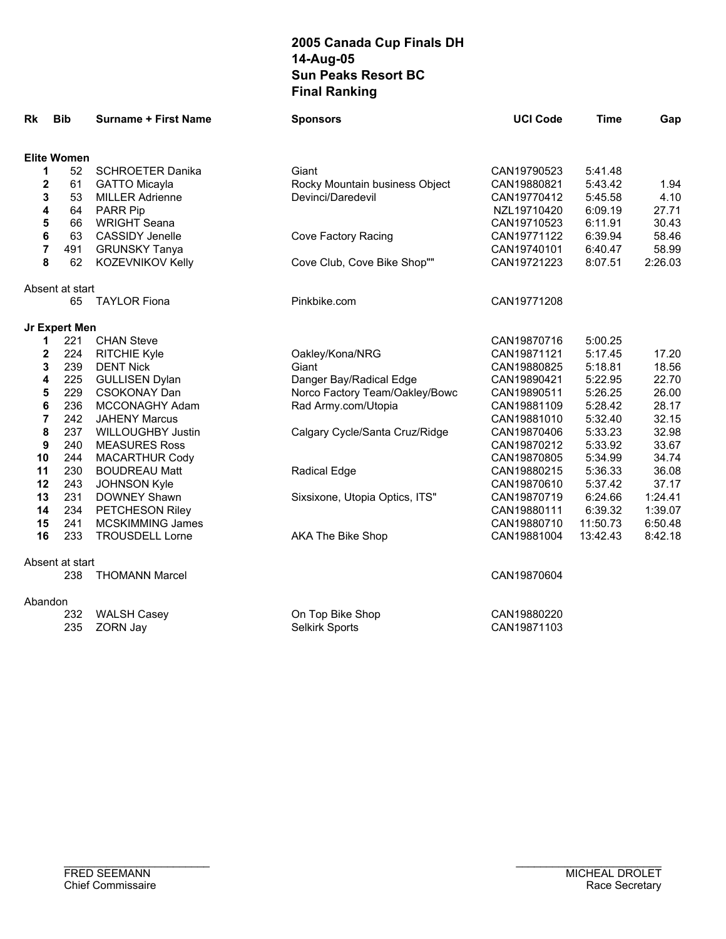| <b>Rk</b>        | <b>Bib</b>         | <b>Surname + First Name</b>                   | <b>Sponsors</b>                                     | <b>UCI Code</b>            | <b>Time</b>        | Gap            |
|------------------|--------------------|-----------------------------------------------|-----------------------------------------------------|----------------------------|--------------------|----------------|
|                  |                    |                                               |                                                     |                            |                    |                |
|                  | <b>Elite Women</b> |                                               |                                                     |                            |                    |                |
| 1                | 52                 | <b>SCHROETER Danika</b>                       | Giant                                               | CAN19790523                | 5:41.48            |                |
| 2                | 61<br>53           | <b>GATTO Micayla</b>                          | Rocky Mountain business Object<br>Devinci/Daredevil | CAN19880821                | 5:43.42<br>5:45.58 | 1.94<br>4.10   |
| 3                |                    | <b>MILLER Adrienne</b>                        |                                                     | CAN19770412                |                    |                |
| 4                | 64<br>66           | PARR Pip                                      |                                                     | NZL19710420                | 6:09.19            | 27.71          |
| 5<br>6           | 63                 | <b>WRIGHT Seana</b><br><b>CASSIDY Jenelle</b> | Cove Factory Racing                                 | CAN19710523<br>CAN19771122 | 6:11.91<br>6:39.94 | 30.43<br>58.46 |
| $\overline{7}$   | 491                | <b>GRUNSKY Tanya</b>                          |                                                     | CAN19740101                | 6:40.47            | 58.99          |
| 8                | 62                 | <b>KOZEVNIKOV Kelly</b>                       | Cove Club, Cove Bike Shop""                         | CAN19721223                | 8:07.51            | 2:26.03        |
|                  |                    |                                               |                                                     |                            |                    |                |
|                  | Absent at start    |                                               |                                                     |                            |                    |                |
|                  | 65                 | <b>TAYLOR Fiona</b>                           | Pinkbike.com                                        | CAN19771208                |                    |                |
|                  | Jr Expert Men      |                                               |                                                     |                            |                    |                |
| 1                | 221                | <b>CHAN Steve</b>                             |                                                     | CAN19870716                | 5:00.25            |                |
| $\mathbf 2$      | 224                | <b>RITCHIE Kyle</b>                           | Oakley/Kona/NRG                                     | CAN19871121                | 5:17.45            | 17.20          |
| 3                | 239                | <b>DENT Nick</b>                              | Giant                                               | CAN19880825                | 5:18.81            | 18.56          |
| 4                | 225                | <b>GULLISEN Dylan</b>                         | Danger Bay/Radical Edge                             | CAN19890421                | 5:22.95            | 22.70          |
| 5                | 229                | <b>CSOKONAY Dan</b>                           | Norco Factory Team/Oakley/Bowc                      | CAN19890511                | 5:26.25            | 26.00          |
| 6                | 236                | MCCONAGHY Adam                                | Rad Army.com/Utopia                                 | CAN19881109                | 5:28.42            | 28.17          |
| $\overline{7}$   | 242                | <b>JAHENY Marcus</b>                          |                                                     | CAN19881010                | 5:32.40            | 32.15          |
| 8                | 237                | <b>WILLOUGHBY Justin</b>                      | Calgary Cycle/Santa Cruz/Ridge                      | CAN19870406                | 5:33.23            | 32.98          |
| $\boldsymbol{9}$ | 240                | <b>MEASURES Ross</b>                          |                                                     | CAN19870212                | 5:33.92            | 33.67          |
| 10               | 244                | <b>MACARTHUR Cody</b>                         |                                                     | CAN19870805                | 5:34.99            | 34.74          |
| 11               | 230                | <b>BOUDREAU Matt</b>                          | <b>Radical Edge</b>                                 | CAN19880215                | 5:36.33            | 36.08          |
| 12               | 243                | JOHNSON Kyle                                  |                                                     | CAN19870610                | 5:37.42            | 37.17          |
| 13               | 231                | DOWNEY Shawn                                  | Sixsixone, Utopia Optics, ITS"                      | CAN19870719                | 6:24.66            | 1:24.41        |
| 14               | 234                | PETCHESON Riley                               |                                                     | CAN19880111                | 6:39.32            | 1:39.07        |
| 15               | 241                | <b>MCSKIMMING James</b>                       |                                                     | CAN19880710                | 11:50.73           | 6:50.48        |
| 16               | 233                | <b>TROUSDELL Lorne</b>                        | AKA The Bike Shop                                   | CAN19881004                | 13:42.43           | 8:42.18        |
|                  | Absent at start    |                                               |                                                     |                            |                    |                |
|                  | 238                | <b>THOMANN Marcel</b>                         |                                                     | CAN19870604                |                    |                |
| Abandon          |                    |                                               |                                                     |                            |                    |                |
|                  | 232                | <b>WALSH Casey</b>                            | On Top Bike Shop                                    | CAN19880220                |                    |                |
|                  | 235                | ZORN Jay                                      | Selkirk Sports                                      | CAN19871103                |                    |                |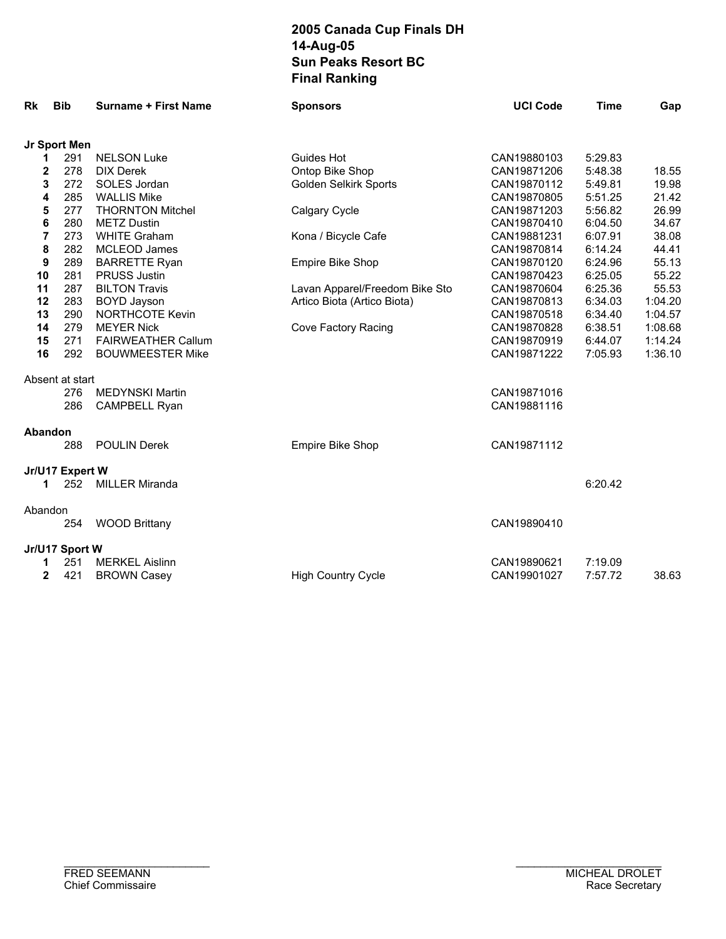| Rk             | <b>Bib</b>      | <b>Surname + First Name</b> | <b>Sponsors</b>                | <b>UCI Code</b> | <b>Time</b> | Gap     |
|----------------|-----------------|-----------------------------|--------------------------------|-----------------|-------------|---------|
|                | Jr Sport Men    |                             |                                |                 |             |         |
| 1              | 291             | <b>NELSON Luke</b>          | <b>Guides Hot</b>              | CAN19880103     | 5:29.83     |         |
| $\mathbf{2}$   | 278             | <b>DIX Derek</b>            | Ontop Bike Shop                | CAN19871206     | 5:48.38     | 18.55   |
| 3              | 272             | SOLES Jordan                | Golden Selkirk Sports          | CAN19870112     | 5:49.81     | 19.98   |
| 4              | 285             | <b>WALLIS Mike</b>          |                                | CAN19870805     | 5:51.25     | 21.42   |
| 5              | 277             | <b>THORNTON Mitchel</b>     | Calgary Cycle                  | CAN19871203     | 5:56.82     | 26.99   |
| 6              | 280             | <b>METZ Dustin</b>          |                                | CAN19870410     | 6:04.50     | 34.67   |
| $\overline{7}$ | 273             | <b>WHITE Graham</b>         | Kona / Bicycle Cafe            | CAN19881231     | 6:07.91     | 38.08   |
| 8              | 282             | <b>MCLEOD James</b>         |                                | CAN19870814     | 6:14.24     | 44.41   |
| 9              | 289             | <b>BARRETTE Ryan</b>        | Empire Bike Shop               | CAN19870120     | 6:24.96     | 55.13   |
| 10             | 281             | <b>PRUSS Justin</b>         |                                | CAN19870423     | 6:25.05     | 55.22   |
| 11             | 287             | <b>BILTON Travis</b>        | Lavan Apparel/Freedom Bike Sto | CAN19870604     | 6:25.36     | 55.53   |
| 12             | 283             | <b>BOYD Jayson</b>          | Artico Biota (Artico Biota)    | CAN19870813     | 6:34.03     | 1:04.20 |
| 13             | 290             | <b>NORTHCOTE Kevin</b>      |                                | CAN19870518     | 6:34.40     | 1:04.57 |
| 14             | 279             | <b>MEYER Nick</b>           | Cove Factory Racing            | CAN19870828     | 6:38.51     | 1:08.68 |
| 15             | 271             | <b>FAIRWEATHER Callum</b>   |                                | CAN19870919     | 6:44.07     | 1:14.24 |
| 16             | 292             | <b>BOUWMEESTER Mike</b>     |                                | CAN19871222     | 7:05.93     | 1:36.10 |
|                | Absent at start |                             |                                |                 |             |         |
|                | 276             | <b>MEDYNSKI Martin</b>      |                                | CAN19871016     |             |         |
|                | 286             | <b>CAMPBELL Ryan</b>        |                                | CAN19881116     |             |         |
| Abandon        |                 |                             |                                |                 |             |         |
|                | 288             | <b>POULIN Derek</b>         | Empire Bike Shop               | CAN19871112     |             |         |
|                | Jr/U17 Expert W |                             |                                |                 |             |         |
| 1              | 252             | <b>MILLER Miranda</b>       |                                |                 | 6:20.42     |         |
| Abandon        |                 |                             |                                |                 |             |         |
|                | 254             | <b>WOOD Brittany</b>        |                                | CAN19890410     |             |         |
|                | Jr/U17 Sport W  |                             |                                |                 |             |         |
| 1              | 251             | <b>MERKEL Aislinn</b>       |                                | CAN19890621     | 7:19.09     |         |
| $\mathbf{2}$   | 421             | <b>BROWN Casey</b>          | <b>High Country Cycle</b>      | CAN19901027     | 7:57.72     | 38.63   |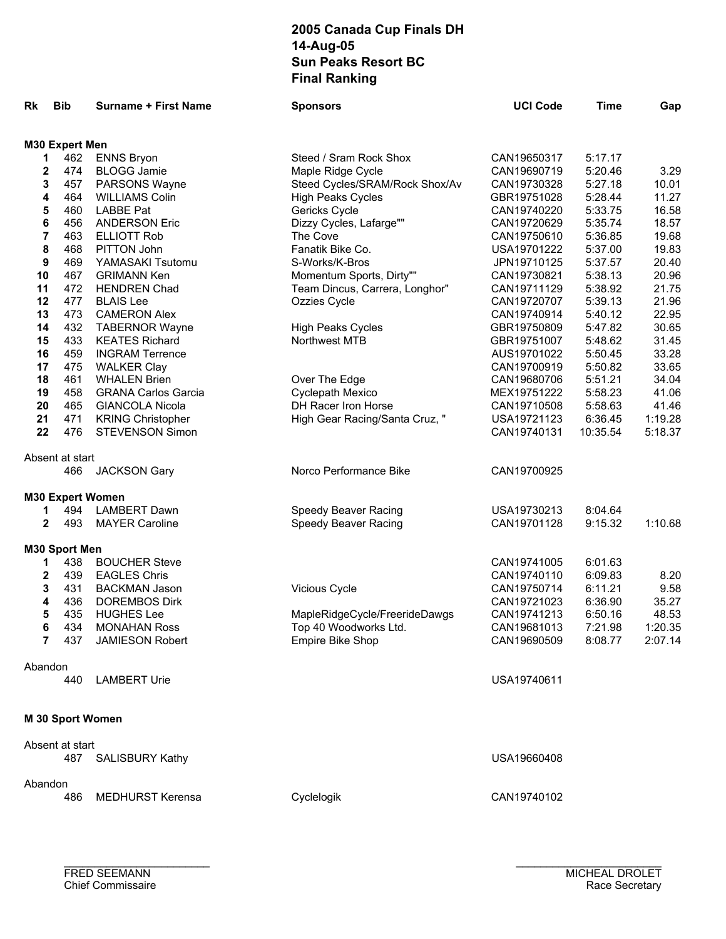| Rk           | <b>Bib</b>              | <b>Surname + First Name</b> | <b>Sponsors</b>                | <b>UCI Code</b> | <b>Time</b> | Gap     |
|--------------|-------------------------|-----------------------------|--------------------------------|-----------------|-------------|---------|
|              |                         |                             |                                |                 |             |         |
| 1            | M30 Expert Men<br>462   | <b>ENNS Bryon</b>           | Steed / Sram Rock Shox         | CAN19650317     | 5:17.17     |         |
| 2            | 474                     | <b>BLOGG Jamie</b>          | Maple Ridge Cycle              | CAN19690719     | 5:20.46     | 3.29    |
| 3            | 457                     | PARSONS Wayne               | Steed Cycles/SRAM/Rock Shox/Av | CAN19730328     | 5:27.18     | 10.01   |
| 4            | 464                     | <b>WILLIAMS Colin</b>       | <b>High Peaks Cycles</b>       | GBR19751028     | 5:28.44     | 11.27   |
| 5            | 460                     | <b>LABBE Pat</b>            | Gericks Cycle                  | CAN19740220     | 5:33.75     | 16.58   |
| 6            | 456                     | <b>ANDERSON Eric</b>        | Dizzy Cycles, Lafarge""        | CAN19720629     | 5:35.74     | 18.57   |
| 7            | 463                     | <b>ELLIOTT Rob</b>          | The Cove                       | CAN19750610     | 5:36.85     | 19.68   |
| 8            | 468                     | PITTON John                 | Fanatik Bike Co.               | USA19701222     | 5:37.00     | 19.83   |
| 9            | 469                     | YAMASAKI Tsutomu            | S-Works/K-Bros                 | JPN19710125     | 5:37.57     | 20.40   |
| 10           | 467                     |                             |                                |                 |             | 20.96   |
|              |                         | <b>GRIMANN Ken</b>          | Momentum Sports, Dirty""       | CAN19730821     | 5:38.13     |         |
| 11           | 472                     | <b>HENDREN Chad</b>         | Team Dincus, Carrera, Longhor" | CAN19711129     | 5:38.92     | 21.75   |
| 12           | 477                     | <b>BLAIS Lee</b>            | Ozzies Cycle                   | CAN19720707     | 5:39.13     | 21.96   |
| 13           | 473                     | <b>CAMERON Alex</b>         |                                | CAN19740914     | 5:40.12     | 22.95   |
| 14           | 432                     | <b>TABERNOR Wayne</b>       | <b>High Peaks Cycles</b>       | GBR19750809     | 5:47.82     | 30.65   |
| 15           | 433                     | <b>KEATES Richard</b>       | Northwest MTB                  | GBR19751007     | 5:48.62     | 31.45   |
| 16           | 459                     | <b>INGRAM Terrence</b>      |                                | AUS19701022     | 5:50.45     | 33.28   |
| 17           | 475                     | <b>WALKER Clay</b>          |                                | CAN19700919     | 5:50.82     | 33.65   |
| 18           | 461                     | <b>WHALEN Brien</b>         | Over The Edge                  | CAN19680706     | 5:51.21     | 34.04   |
| 19           | 458                     | <b>GRANA Carlos Garcia</b>  | Cyclepath Mexico               | MEX19751222     | 5:58.23     | 41.06   |
| 20           | 465                     | <b>GIANCOLA Nicola</b>      | DH Racer Iron Horse            | CAN19710508     | 5:58.63     | 41.46   |
| 21           | 471                     | <b>KRING Christopher</b>    | High Gear Racing/Santa Cruz, " | USA19721123     | 6:36.45     | 1:19.28 |
| 22           | 476                     | <b>STEVENSON Simon</b>      |                                | CAN19740131     | 10:35.54    | 5:18.37 |
|              | Absent at start         |                             |                                |                 |             |         |
|              | 466                     | <b>JACKSON Gary</b>         | Norco Performance Bike         | CAN19700925     |             |         |
|              | <b>M30 Expert Women</b> |                             |                                |                 |             |         |
| 1            | 494                     | <b>LAMBERT Dawn</b>         | Speedy Beaver Racing           | USA19730213     | 8:04.64     |         |
| $\mathbf{2}$ | 493                     | <b>MAYER Caroline</b>       | Speedy Beaver Racing           | CAN19701128     | 9:15.32     | 1:10.68 |
|              | M30 Sport Men           |                             |                                |                 |             |         |
| 1            | 438                     | <b>BOUCHER Steve</b>        |                                | CAN19741005     | 6:01.63     |         |
| $\mathbf 2$  | 439                     | <b>EAGLES Chris</b>         |                                | CAN19740110     | 6:09.83     | 8.20    |
| 3            | 431                     | <b>BACKMAN Jason</b>        | Vicious Cycle                  | CAN19750714     | 6:11.21     | 9.58    |
| 4            | 436                     | <b>DOREMBOS Dirk</b>        |                                | CAN19721023     | 6:36.90     | 35.27   |
| 5            | 435                     | <b>HUGHES Lee</b>           | MapleRidgeCycle/FreerideDawgs  | CAN19741213     | 6:50.16     | 48.53   |
| b            | 434                     | <b>MONAHAN Ross</b>         | Top 40 Woodworks Ltd.          | CAN19681013     | 7:21.98     | 1:20.35 |
| 7            | 437                     | <b>JAMIESON Robert</b>      | <b>Empire Bike Shop</b>        | CAN19690509     | 8:08.77     | 2:07.14 |
| Abandon      |                         |                             |                                |                 |             |         |
|              | 440                     | <b>LAMBERT Urie</b>         |                                | USA19740611     |             |         |
|              |                         |                             |                                |                 |             |         |
|              | M 30 Sport Women        |                             |                                |                 |             |         |
|              | Absent at start         |                             |                                |                 |             |         |
|              | 487                     | <b>SALISBURY Kathy</b>      |                                | USA19660408     |             |         |
|              |                         |                             |                                |                 |             |         |
| Abandon      |                         |                             |                                |                 |             |         |
|              | 486                     | <b>MEDHURST Kerensa</b>     | Cyclelogik                     | CAN19740102     |             |         |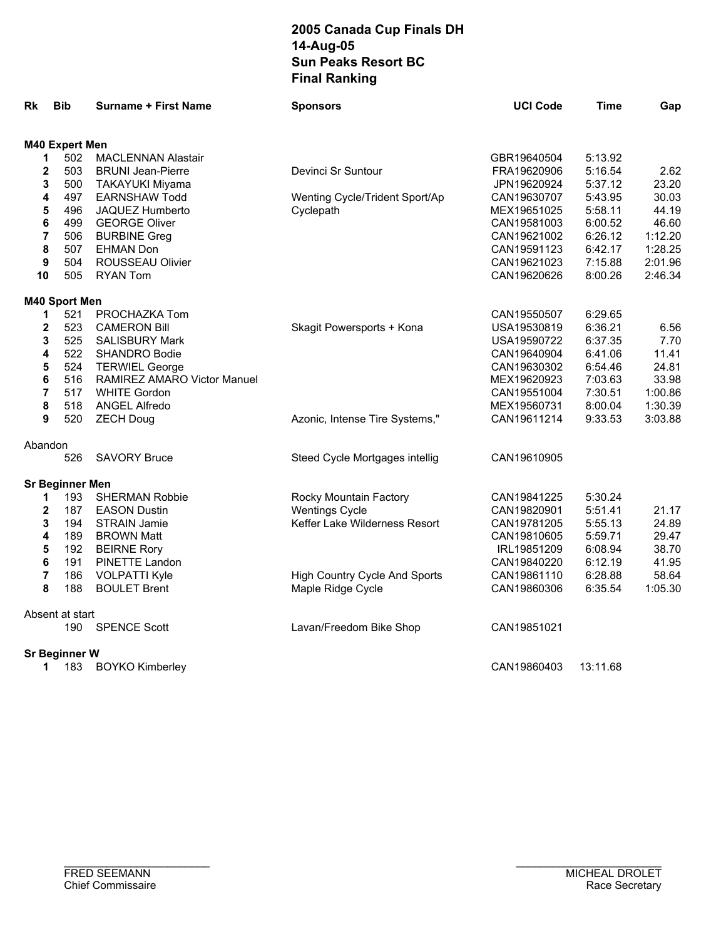| Rk                      | <b>Bib</b>             | <b>Surname + First Name</b> | <b>Sponsors</b>                      | <b>UCI Code</b> | Time     | Gap     |
|-------------------------|------------------------|-----------------------------|--------------------------------------|-----------------|----------|---------|
|                         | M40 Expert Men         |                             |                                      |                 |          |         |
| 1                       | 502                    | <b>MACLENNAN Alastair</b>   |                                      | GBR19640504     | 5:13.92  |         |
| 2                       | 503                    | <b>BRUNI Jean-Pierre</b>    | Devinci Sr Suntour                   | FRA19620906     | 5:16.54  | 2.62    |
| 3                       | 500                    | <b>TAKAYUKI Miyama</b>      |                                      | JPN19620924     | 5:37.12  | 23.20   |
| 4                       | 497                    | <b>EARNSHAW Todd</b>        | Wenting Cycle/Trident Sport/Ap       | CAN19630707     | 5:43.95  | 30.03   |
| 5                       | 496                    | JAQUEZ Humberto             | Cyclepath                            | MEX19651025     | 5:58.11  | 44.19   |
| 6                       | 499                    | <b>GEORGE Oliver</b>        |                                      | CAN19581003     | 6:00.52  | 46.60   |
| 7                       | 506                    | <b>BURBINE Greg</b>         |                                      | CAN19621002     | 6:26.12  | 1:12.20 |
| 8                       | 507                    | <b>EHMAN Don</b>            |                                      | CAN19591123     | 6:42.17  | 1:28.25 |
| $\boldsymbol{9}$        | 504                    | ROUSSEAU Olivier            |                                      | CAN19621023     | 7:15.88  | 2:01.96 |
| 10                      | 505                    | <b>RYAN Tom</b>             |                                      | CAN19620626     | 8:00.26  | 2:46.34 |
|                         | M40 Sport Men          |                             |                                      |                 |          |         |
| 1                       | 521                    | PROCHAZKA Tom               |                                      | CAN19550507     | 6:29.65  |         |
| $\mathbf 2$             | 523                    | <b>CAMERON Bill</b>         | Skagit Powersports + Kona            | USA19530819     | 6:36.21  | 6.56    |
| 3                       | 525                    | <b>SALISBURY Mark</b>       |                                      | USA19590722     | 6:37.35  | 7.70    |
| 4                       | 522                    | <b>SHANDRO Bodie</b>        |                                      | CAN19640904     | 6:41.06  | 11.41   |
| 5                       | 524                    | <b>TERWIEL George</b>       |                                      | CAN19630302     | 6:54.46  | 24.81   |
| 6                       | 516                    | RAMIREZ AMARO Victor Manuel |                                      | MEX19620923     | 7:03.63  | 33.98   |
| 7                       | 517                    | <b>WHITE Gordon</b>         |                                      | CAN19551004     | 7:30.51  | 1:00.86 |
| 8                       | 518                    | <b>ANGEL Alfredo</b>        |                                      | MEX19560731     | 8:00.04  | 1:30.39 |
| 9                       | 520                    | <b>ZECH Doug</b>            | Azonic, Intense Tire Systems,"       | CAN19611214     | 9:33.53  | 3:03.88 |
| Abandon                 |                        |                             |                                      |                 |          |         |
|                         | 526                    | <b>SAVORY Bruce</b>         | Steed Cycle Mortgages intellig       | CAN19610905     |          |         |
|                         | <b>Sr Beginner Men</b> |                             |                                      |                 |          |         |
| 1                       | 193                    | <b>SHERMAN Robbie</b>       | Rocky Mountain Factory               | CAN19841225     | 5:30.24  |         |
| $\mathbf 2$             | 187                    | <b>EASON Dustin</b>         | <b>Wentings Cycle</b>                | CAN19820901     | 5:51.41  | 21.17   |
| 3                       | 194                    | <b>STRAIN Jamie</b>         | Keffer Lake Wilderness Resort        | CAN19781205     | 5:55.13  | 24.89   |
| 4                       | 189                    | <b>BROWN Matt</b>           |                                      | CAN19810605     | 5:59.71  | 29.47   |
| 5                       | 192                    | <b>BEIRNE Rory</b>          |                                      | IRL19851209     | 6:08.94  | 38.70   |
| 6                       | 191                    | PINETTE Landon              |                                      | CAN19840220     | 6:12.19  | 41.95   |
| $\overline{\mathbf{7}}$ | 186                    | <b>VOLPATTI Kyle</b>        | <b>High Country Cycle And Sports</b> | CAN19861110     | 6:28.88  | 58.64   |
| 8                       | 188                    | <b>BOULET Brent</b>         | Maple Ridge Cycle                    | CAN19860306     | 6:35.54  | 1:05.30 |
|                         | Absent at start        |                             |                                      |                 |          |         |
|                         | 190                    | <b>SPENCE Scott</b>         | Lavan/Freedom Bike Shop              | CAN19851021     |          |         |
|                         | <b>Sr Beginner W</b>   |                             |                                      |                 |          |         |
| 1                       | 183                    | <b>BOYKO Kimberley</b>      |                                      | CAN19860403     | 13:11.68 |         |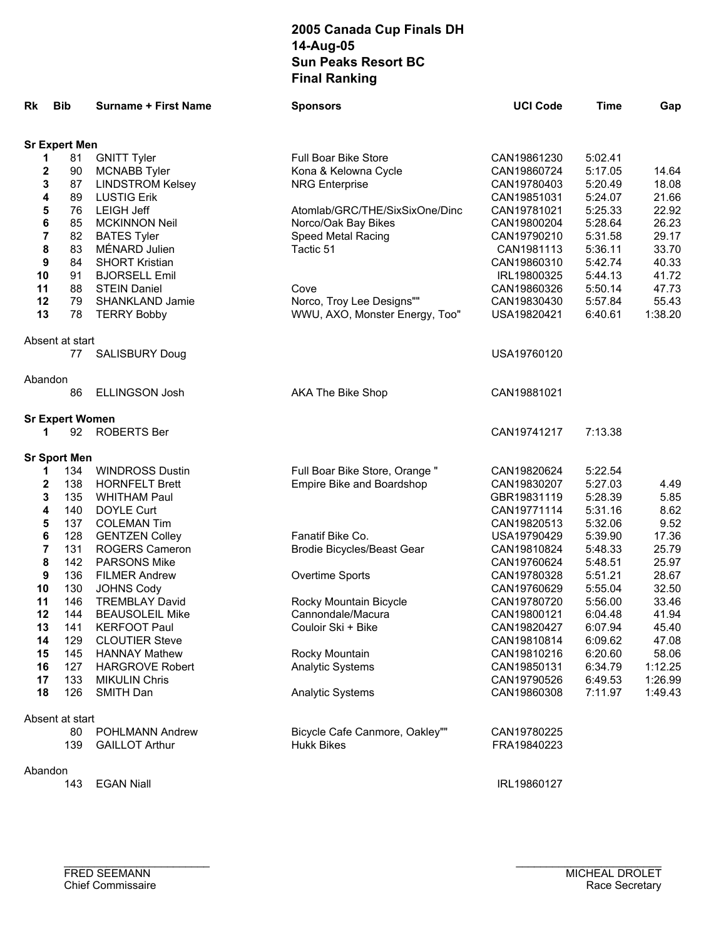| Rk       | <b>Bib</b>             | <b>Surname + First Name</b>                | <b>Sponsors</b>                             | <b>UCI Code</b>            | <b>Time</b>        | Gap            |
|----------|------------------------|--------------------------------------------|---------------------------------------------|----------------------------|--------------------|----------------|
|          | <b>Sr Expert Men</b>   |                                            |                                             |                            |                    |                |
| 1        | 81                     | <b>GNITT Tyler</b>                         | Full Boar Bike Store                        | CAN19861230                | 5:02.41            |                |
| 2        | 90                     | <b>MCNABB Tyler</b>                        | Kona & Kelowna Cycle                        | CAN19860724                | 5:17.05            | 14.64          |
| 3        | 87                     | <b>LINDSTROM Kelsey</b>                    | <b>NRG Enterprise</b>                       | CAN19780403                | 5:20.49            | 18.08          |
| 4        | 89                     | <b>LUSTIG Erik</b>                         |                                             | CAN19851031                | 5:24.07            | 21.66          |
| 5        | 76                     | <b>LEIGH Jeff</b>                          | Atomlab/GRC/THE/SixSixOne/Dinc              | CAN19781021                | 5:25.33            | 22.92          |
| 6        | 85                     | <b>MCKINNON Neil</b>                       | Norco/Oak Bay Bikes                         | CAN19800204                | 5:28.64            | 26.23          |
| 7        | 82                     | <b>BATES Tyler</b>                         | Speed Metal Racing                          | CAN19790210                | 5:31.58            | 29.17          |
| 8        | 83                     | MÉNARD Julien                              | Tactic 51                                   | CAN1981113                 | 5:36.11            | 33.70          |
| 9        | 84                     | <b>SHORT Kristian</b>                      |                                             | CAN19860310                | 5:42.74            | 40.33          |
| 10       | 91                     | <b>BJORSELL Emil</b>                       |                                             | IRL19800325                | 5:44.13            | 41.72          |
| 11       | 88                     | <b>STEIN Daniel</b>                        | Cove                                        | CAN19860326                | 5:50.14            | 47.73          |
| 12       | 79                     | <b>SHANKLAND Jamie</b>                     | Norco, Troy Lee Designs""                   | CAN19830430                | 5:57.84            | 55.43          |
| 13       | 78                     | <b>TERRY Bobby</b>                         | WWU, AXO, Monster Energy, Too"              | USA19820421                | 6:40.61            | 1:38.20        |
|          | Absent at start        |                                            |                                             |                            |                    |                |
|          | 77                     | <b>SALISBURY Doug</b>                      |                                             | USA19760120                |                    |                |
| Abandon  | 86                     | <b>ELLINGSON Josh</b>                      | AKA The Bike Shop                           | CAN19881021                |                    |                |
|          |                        |                                            |                                             |                            |                    |                |
|          | <b>Sr Expert Women</b> |                                            |                                             |                            |                    |                |
| 1        | 92                     | <b>ROBERTS Ber</b>                         |                                             | CAN19741217                | 7:13.38            |                |
|          | <b>Sr Sport Men</b>    |                                            |                                             |                            |                    |                |
| 1        | 134                    | <b>WINDROSS Dustin</b>                     | Full Boar Bike Store, Orange "              | CAN19820624                | 5:22.54            |                |
| 2        | 138                    | <b>HORNFELT Brett</b>                      | Empire Bike and Boardshop                   | CAN19830207                | 5:27.03            | 4.49           |
| 3        | 135                    | <b>WHITHAM Paul</b>                        |                                             | GBR19831119                | 5:28.39            | 5.85           |
| 4        | 140                    | DOYLE Curt                                 |                                             | CAN19771114                | 5:31.16            | 8.62           |
| 5        | 137                    | <b>COLEMAN Tim</b>                         |                                             | CAN19820513                | 5:32.06            | 9.52           |
| 6        | 128                    | <b>GENTZEN Colley</b>                      | Fanatif Bike Co.                            | USA19790429                | 5:39.90            | 17.36          |
| 7        | 131                    | ROGERS Cameron                             | Brodie Bicycles/Beast Gear                  | CAN19810824                | 5:48.33            | 25.79          |
| 8        | 142                    | <b>PARSONS Mike</b>                        |                                             | CAN19760624                | 5:48.51            | 25.97          |
| 9        | 136                    | <b>FILMER Andrew</b>                       | Overtime Sports                             | CAN19780328                | 5:51.21            | 28.67          |
| 10<br>11 | 130<br>146             | <b>JOHNS Cody</b><br><b>TREMBLAY David</b> |                                             | CAN19760629<br>CAN19780720 | 5:55.04            | 32.50<br>33.46 |
| 12       | 144                    | <b>BEAUSOLEIL Mike</b>                     | Rocky Mountain Bicycle<br>Cannondale/Macura | CAN19800121                | 5:56.00<br>6:04.48 | 41.94          |
| 13       | 141                    | <b>KERFOOT Paul</b>                        | Couloir Ski + Bike                          | CAN19820427                | 6.07.94            | 45.40          |
| 14       | 129                    | <b>CLOUTIER Steve</b>                      |                                             | CAN19810814                | 6:09.62            | 47.08          |
| 15       | 145                    | <b>HANNAY Mathew</b>                       | Rocky Mountain                              | CAN19810216                | 6:20.60            | 58.06          |
| 16       | 127                    | <b>HARGROVE Robert</b>                     | <b>Analytic Systems</b>                     | CAN19850131                | 6:34.79            | 1:12.25        |
| 17       | 133                    | <b>MIKULIN Chris</b>                       |                                             | CAN19790526                | 6:49.53            | 1:26.99        |
| 18       | 126                    | SMITH Dan                                  | <b>Analytic Systems</b>                     | CAN19860308                | 7:11.97            | 1:49.43        |
|          | Absent at start        |                                            |                                             |                            |                    |                |
|          | 80                     | <b>POHLMANN Andrew</b>                     | Bicycle Cafe Canmore, Oakley""              | CAN19780225                |                    |                |
|          | 139                    | <b>GAILLOT Arthur</b>                      | <b>Hukk Bikes</b>                           | FRA19840223                |                    |                |
| Abandon  |                        |                                            |                                             |                            |                    |                |
|          | 143                    | <b>EGAN Niall</b>                          |                                             | IRL19860127                |                    |                |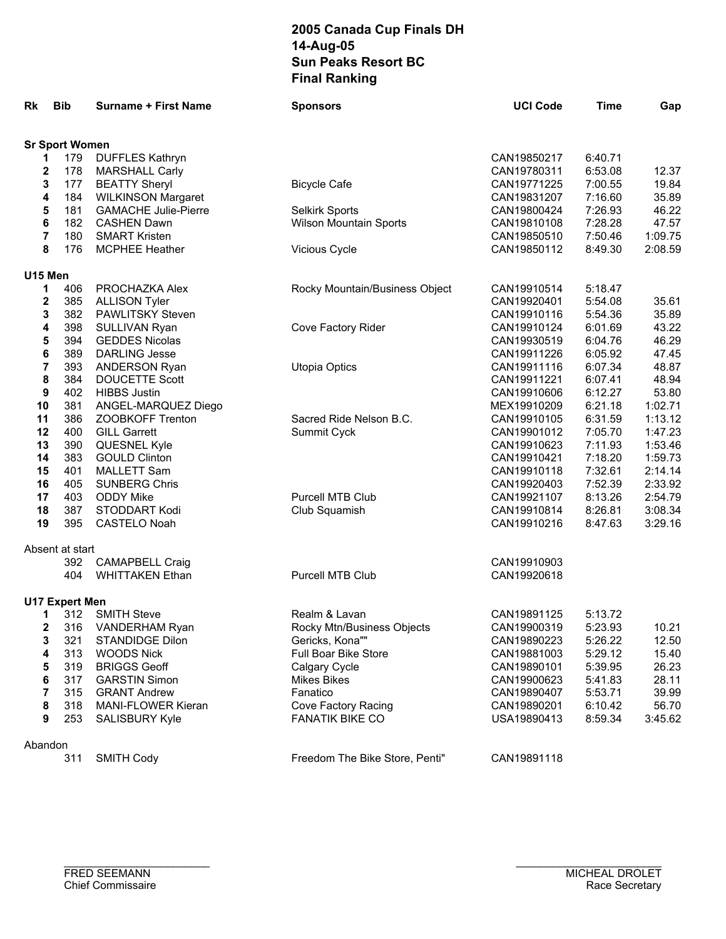| Rk             | <b>Bib</b>            | <b>Surname + First Name</b> | <b>Sponsors</b>                | <b>UCI Code</b> | Time    | Gap     |
|----------------|-----------------------|-----------------------------|--------------------------------|-----------------|---------|---------|
|                | <b>Sr Sport Women</b> |                             |                                |                 |         |         |
| 1              | 179                   | <b>DUFFLES Kathryn</b>      |                                | CAN19850217     | 6:40.71 |         |
| $\mathbf{2}$   | 178                   | <b>MARSHALL Carly</b>       |                                | CAN19780311     | 6:53.08 | 12.37   |
| 3              | 177                   | <b>BEATTY Sheryl</b>        | <b>Bicycle Cafe</b>            | CAN19771225     | 7:00.55 | 19.84   |
| 4              | 184                   | <b>WILKINSON Margaret</b>   |                                | CAN19831207     | 7:16.60 | 35.89   |
| 5              | 181                   | <b>GAMACHE Julie-Pierre</b> | Selkirk Sports                 | CAN19800424     | 7:26.93 | 46.22   |
| 6              | 182                   | <b>CASHEN Dawn</b>          | Wilson Mountain Sports         | CAN19810108     | 7:28.28 | 47.57   |
| 7              | 180                   | <b>SMART Kristen</b>        |                                | CAN19850510     | 7:50.46 | 1:09.75 |
| 8              | 176                   | <b>MCPHEE Heather</b>       | Vicious Cycle                  | CAN19850112     | 8:49.30 | 2:08.59 |
| U15 Men        |                       |                             |                                |                 |         |         |
| 1              | 406                   | PROCHAZKA Alex              | Rocky Mountain/Business Object | CAN19910514     | 5:18.47 |         |
| $\mathbf 2$    | 385                   | <b>ALLISON Tyler</b>        |                                | CAN19920401     | 5:54.08 | 35.61   |
| 3              | 382                   | <b>PAWLITSKY Steven</b>     |                                | CAN19910116     | 5:54.36 | 35.89   |
| 4              | 398                   | SULLIVAN Ryan               | Cove Factory Rider             | CAN19910124     | 6:01.69 | 43.22   |
| 5              | 394                   | <b>GEDDES Nicolas</b>       |                                | CAN19930519     | 6:04.76 | 46.29   |
| 6              | 389                   | <b>DARLING Jesse</b>        |                                | CAN19911226     | 6:05.92 | 47.45   |
| $\overline{7}$ | 393                   | <b>ANDERSON Ryan</b>        | <b>Utopia Optics</b>           | CAN19911116     | 6:07.34 | 48.87   |
| 8              | 384                   | DOUCETTE Scott              |                                | CAN19911221     | 6:07.41 | 48.94   |
| 9              | 402                   | <b>HIBBS Justin</b>         |                                | CAN19910606     | 6:12.27 | 53.80   |
| 10             | 381                   | ANGEL-MARQUEZ Diego         |                                | MEX19910209     | 6:21.18 | 1:02.71 |
| 11             | 386                   | ZOOBKOFF Trenton            | Sacred Ride Nelson B.C.        | CAN19910105     | 6:31.59 | 1:13.12 |
| 12             | 400                   | <b>GILL Garrett</b>         | Summit Cyck                    | CAN19901012     | 7:05.70 | 1:47.23 |
| 13             | 390                   | QUESNEL Kyle                |                                | CAN19910623     | 7:11.93 | 1:53.46 |
| 14             | 383                   | <b>GOULD Clinton</b>        |                                | CAN19910421     | 7:18.20 | 1:59.73 |
| 15             | 401                   | <b>MALLETT Sam</b>          |                                | CAN19910118     | 7:32.61 | 2:14.14 |
| 16             | 405                   | <b>SUNBERG Chris</b>        |                                | CAN19920403     | 7:52.39 | 2:33.92 |
| 17             | 403                   | <b>ODDY Mike</b>            | Purcell MTB Club               | CAN19921107     | 8:13.26 | 2:54.79 |
| 18             | 387                   | <b>STODDART Kodi</b>        | Club Squamish                  | CAN19910814     | 8:26.81 | 3:08.34 |
| 19             | 395                   | <b>CASTELO Noah</b>         |                                | CAN19910216     | 8:47.63 | 3:29.16 |
|                | Absent at start       |                             |                                |                 |         |         |
|                | 392                   | <b>CAMAPBELL Craig</b>      |                                | CAN19910903     |         |         |
|                | 404                   | <b>WHITTAKEN Ethan</b>      | Purcell MTB Club               | CAN19920618     |         |         |
|                | <b>U17 Expert Men</b> |                             |                                |                 |         |         |
| 1              | 312                   | <b>SMITH Steve</b>          | Realm & Lavan                  | CAN19891125     | 5:13.72 |         |
| 2              | 316                   | VANDERHAM Ryan              | Rocky Mtn/Business Objects     | CAN19900319     | 5:23.93 | 10.21   |
| 3              | 321                   | STANDIDGE Dilon             | Gericks, Kona""                | CAN19890223     | 5:26.22 | 12.50   |
| 4              | 313                   | <b>WOODS Nick</b>           | Full Boar Bike Store           | CAN19881003     | 5:29.12 | 15.40   |
| 5              | 319                   | <b>BRIGGS Geoff</b>         | Calgary Cycle                  | CAN19890101     | 5:39.95 | 26.23   |
| 6              | 317                   | <b>GARSTIN Simon</b>        | <b>Mikes Bikes</b>             | CAN19900623     | 5:41.83 | 28.11   |
| 7              | 315                   | <b>GRANT Andrew</b>         | Fanatico                       | CAN19890407     | 5:53.71 | 39.99   |
| 8              | 318                   | <b>MANI-FLOWER Kieran</b>   | Cove Factory Racing            | CAN19890201     | 6:10.42 | 56.70   |
| 9              | 253                   | SALISBURY Kyle              | <b>FANATIK BIKE CO</b>         | USA19890413     | 8:59.34 | 3:45.62 |
| Abandon        |                       |                             |                                |                 |         |         |
|                | 311                   | <b>SMITH Cody</b>           | Freedom The Bike Store, Penti" | CAN19891118     |         |         |